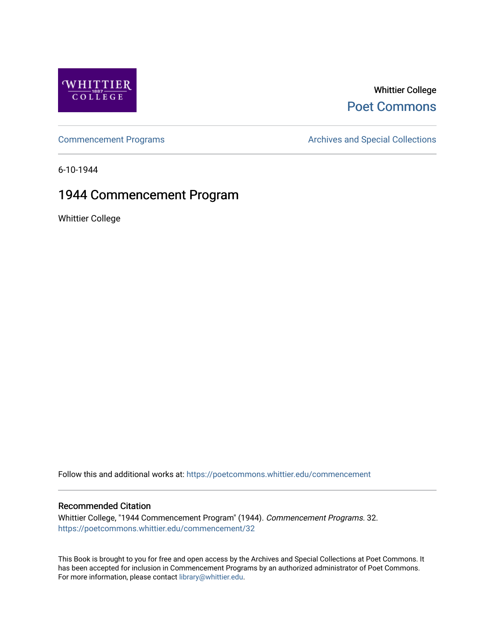

# Whittier College [Poet Commons](https://poetcommons.whittier.edu/)

[Commencement Programs](https://poetcommons.whittier.edu/commencement) **Archives and Special Collections** Archives and Special Collections

6-10-1944

# 1944 Commencement Program

Whittier College

Follow this and additional works at: [https://poetcommons.whittier.edu/commencement](https://poetcommons.whittier.edu/commencement?utm_source=poetcommons.whittier.edu%2Fcommencement%2F32&utm_medium=PDF&utm_campaign=PDFCoverPages) 

# Recommended Citation

Whittier College, "1944 Commencement Program" (1944). Commencement Programs. 32. [https://poetcommons.whittier.edu/commencement/32](https://poetcommons.whittier.edu/commencement/32?utm_source=poetcommons.whittier.edu%2Fcommencement%2F32&utm_medium=PDF&utm_campaign=PDFCoverPages)

This Book is brought to you for free and open access by the Archives and Special Collections at Poet Commons. It has been accepted for inclusion in Commencement Programs by an authorized administrator of Poet Commons. For more information, please contact [library@whittier.edu.](mailto:library@whittier.edu)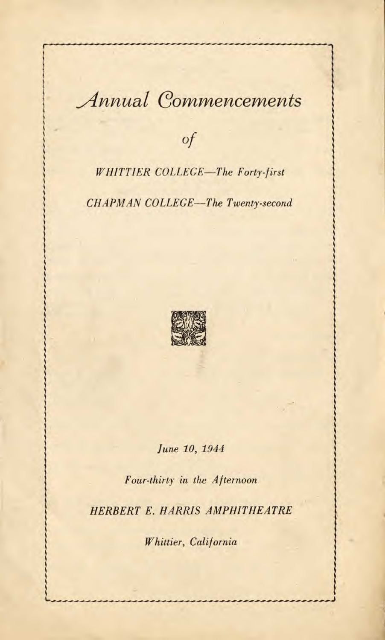# Annual Commencements

Of

WHITTiER COLLEGE—The Forty-first

CHAPMAN COLLEGE—The Twenty-second



June 10, 1944

Four-thirty in the Afternoon

HERBERT E. HARRIS AMPHITHEATRE

Whittier, California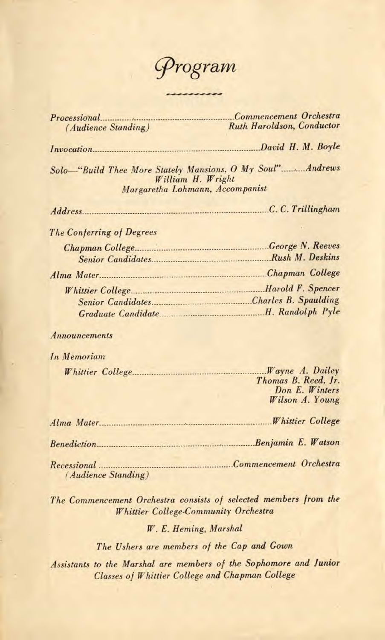

| <i>(Audience Standing)</i>                                                                                         | <b>Ruth Haroldson, Conductor</b>                                                   |
|--------------------------------------------------------------------------------------------------------------------|------------------------------------------------------------------------------------|
|                                                                                                                    |                                                                                    |
| Solo-"Build Thee More Stately Mansions, O My Soul" Andrews<br>William H. Wright<br>Margaretha Lohmann, Accompanist |                                                                                    |
|                                                                                                                    |                                                                                    |
| The Conferring of Degrees                                                                                          |                                                                                    |
|                                                                                                                    |                                                                                    |
|                                                                                                                    |                                                                                    |
|                                                                                                                    |                                                                                    |
| Announcements                                                                                                      |                                                                                    |
| In Memoriam                                                                                                        |                                                                                    |
|                                                                                                                    | <i>Wayne A. Dailey</i><br>Thomas B. Reed, Jr.<br>Don E. Winters<br>Wilson A. Young |
|                                                                                                                    |                                                                                    |
| Benediction Benjamin E. Watson                                                                                     |                                                                                    |
| <i>(Audience Standing)</i>                                                                                         |                                                                                    |
| The Commencement Orchestra consists of selected members from the<br><b>Whittier College-Community Orchestra</b>    |                                                                                    |
| W. E. Heming, Marshal                                                                                              |                                                                                    |

The Ushers are members of the Cap and Gown

Assistants to the Marshal are members of the Sophomore and Junior Classes of Whittier College and Chapman College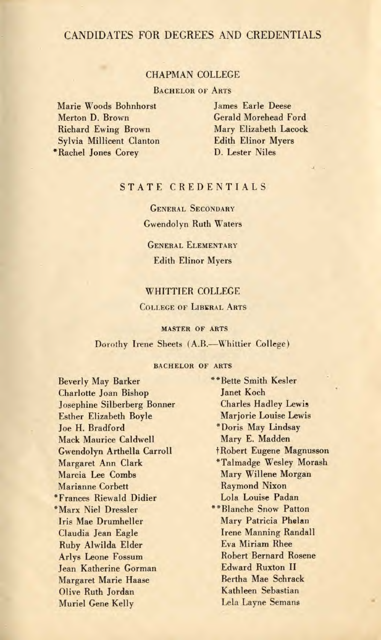## CANDIDATES FOR DEGREES AND CREDENTIALS

#### CHAPMAN COLLEGE

BACHELOR OF ARTS

Marie Woods Bohnhorst Merton D. Brown Richard Ewing Brown Sylvia Millicent Clanton \*Rachel Jones Corey

James Earle Deese Gerald Morehead Ford Mary Elizabeth Lacock Edith Elinor Myers D. Lester Niles

## STATE CREDENTIALS

GENERAL SECONDARY Gwendolyn Ruth Waters

GENERAL ELEMENTARY Edith Elinor Myers

#### WHITTIER COLLEGE

#### COLLEGE OF LIBERAL ARTS

#### MASTER OF ARTS

#### Dorothy Irene Sheets (A.B.—Whittier College)

#### BACHELOR OF ARTS

Beverly May Barker Charlotte Joan Bishop Josephine Silberberg Bonner Esther Elizabeth Boyle Joe H. Bradford Mack Maurice Caldwell Gwendolyn Arthella Carroll Margaret Ann Clark Marcia Lee Combs Marianne Corbett \*Frances Riewald Didier \*Marx Niel Dressler Iris Mae Drumheller Claudia Jean Eagle Ruby Aiwilda Elder Arlys Leone Fossum Jean Katherine Gorman Margaret Marie Haase Olive Ruth Jordan Muriel Gene Kelly

\*\*Bette Smith Kesler Janet Koch Charles Hadley Lewis Marjorie Louise Lewis \*Doris May Lindsay Mary E. Madden f Robert Eugene Magnusson \*Talmadge Wesley Morash Mary Willene Morgan Raymond Nixon Lola Louise Padan \*\*Blanche Snow Patton Mary Patricia Phelan Irene Manning Randall Eva Miriam Rhee Robert Bernard Rosene Edward Ruxton II Bertha Mae Schrack Kathleen Sebastian Lela Layne Semans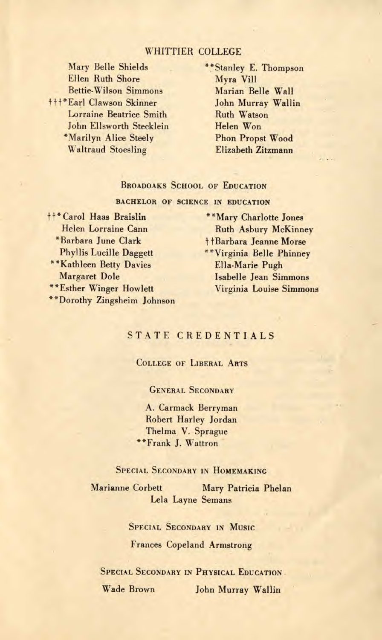#### WHITTIER COLLEGE

Mary Belle Shields Ellen Ruth Shore Bettie-Wilson Simmons ttf\*Earl Clawson Skinner Lorraine Beatrice Smith John Ellsworth Stecklein 'Marilyn Alice Steely Waltraud Stoesling

\*\*Stanley E. Thompson Myra Vill Marian Belle Wall John Murray Wallin Ruth Watson Helen Won Phon Propst Wood Elizabeth Zitzmann

#### BROADOAKS SCHOOL OF EDUCATION

BACHELOR OF SCIENCE IN EDUCATION

<sup>†</sup>†\* Carol Haas Braislin Helen Lorraine Cann 'Barbara June Clark Phyllis Lucille Daggett \*\* Kathleen Betty Davies Margaret Dole "Esther Winger Howlett "Dorothy Zingsheim Johnson

"Mary Charlotte Jones Ruth Asbury McKinney t + Barbara Jeanne Morse "Virginia Belle Phinney Ella-Marie Pugh Isabelle Jean Simmons Virginia Louise Simmons

#### STATE CREDENTIALS

#### COLLEGE OF LIBERAL ARTS

#### GENERAL SECONDARY

A. Carmack Berryman Robert Harley Jordan Thelma V. Sprague "Frank J. Wattron

### SPECIAL SECONDARY IN HOMEMAKING

Marianne Corbett Mary Patricia Phelan Lela Layne Semans

> SPECIAL SECONDARY IN MUSIC Frances Copeland Armstrong

SPECIAL SECONDARY IN PHYSICAL EDUCATION Wade Brown John Murray Wallin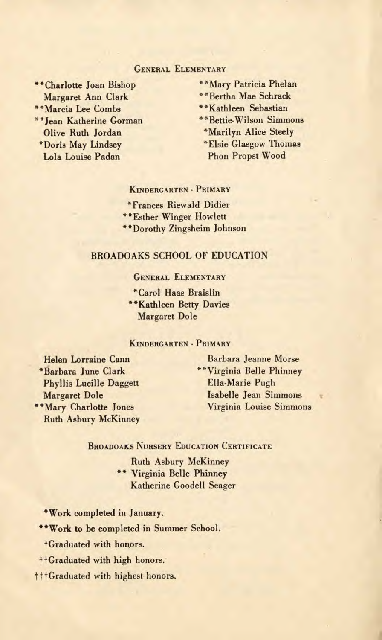#### GENERAL ELEMENTARY

\*\*Charlotte Joan Bishop Margaret Ann Clark \*\*Marcia Lee Combs \*\*Jean Katherine Gorman Olive Ruth Jordan \*Doris May Lindsey Lola Louise Padan

- "Mary Patricia Phelan \*\*Mary Patricia Phela<br>\*\*Bertha Mae Schrack<br>\*\*Kathleen Sebastian<br>\*\*Bettie Wilson Simmo
- \*\*Bertha Mae Schrack
- 
- \* Bettie-Wilson Simmons
	- \*Marilyn Alice Steely
	- \*Elsie Glasgow Thomas Phon Propst Wood

KINDERGARTEN - PRIMARY

\*Frances Riewald Didier

\*\*Esther Winger Howlett

\*\*Dorothy Zingsheim Johnson

#### BROADOAKS SCHOOL OF EDUCATION

GENERAL ELEMENTARY

\*Carol Haas Braislin \*\*Kathleen Betty Davies Margaret Dole

#### **KINDERGARTEN - PRIMARY**

Helen Lorraine Cann \*Barbara June Clark Phyllis Lucille Daggett Margaret Dole \*\*Mary Charlotte Jones Ruth Asbury McKinney

Barbara Jeanne Morse \*\*Virginia Belle Phinney Ella-Marie Pugh Isabelle Jean Simmons Virginia Louise Simmons

#### BROADOAKS NURSERY EDUCATION CERTIFICATE

Ruth Asbury McKinney \*\* Virginia Belle Phinney Katherine Goodell Seager

'Work completed in January.

"Work to be completed in Summer School.

Graduated with honors.

**t** fGraduated with high honors.

† † + Graduated with highest honors.